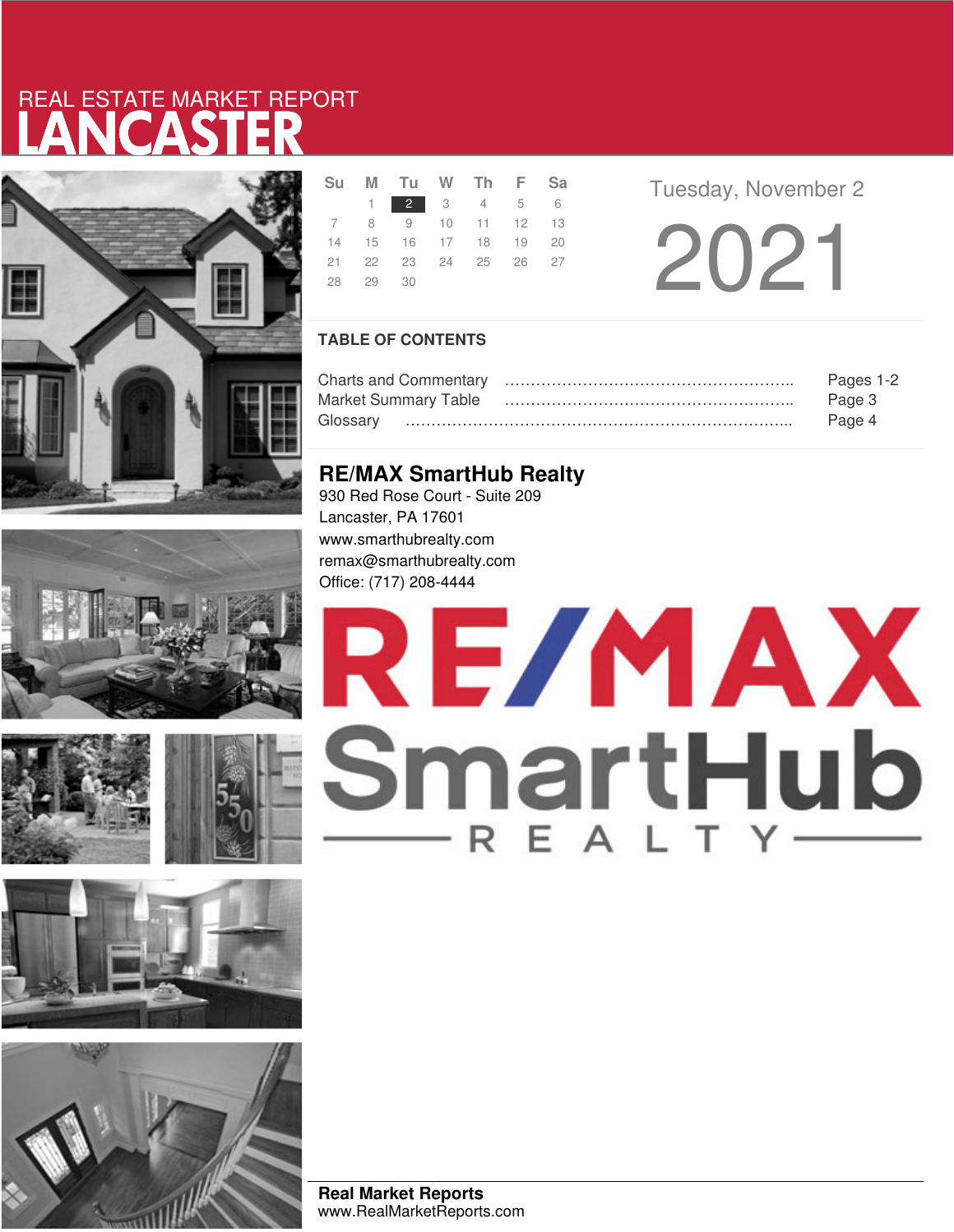# LANCASTER REAL ESTATE MARKET REPORT













|  | 28 29 30 |  | Su M Tu W Th F Sa<br>1 2 3 4 5 6<br>7 8 9 10 11 12 13<br>14 15 16 17 18 19 20<br>21  22  23  24  25  26  27 |  |
|--|----------|--|-------------------------------------------------------------------------------------------------------------|--|

**Tuesday, November 2** 

2021

## **TABLE OF CONTENTS**

|                             | Pages 1-2 |
|-----------------------------|-----------|
| <b>Market Summary Table</b> | Page 3    |
|                             | Page 4    |

## **RE/MAX SmartHub Realty**

930 Red Rose Court - Suite 209 Lancaster, PA 17601 www.smarthubrealty.com remax@smarthubrealty.com Office: (717) 208-4444

# RE/MAX SmartHub

**Real Market Reports** www.RealMarketReports.com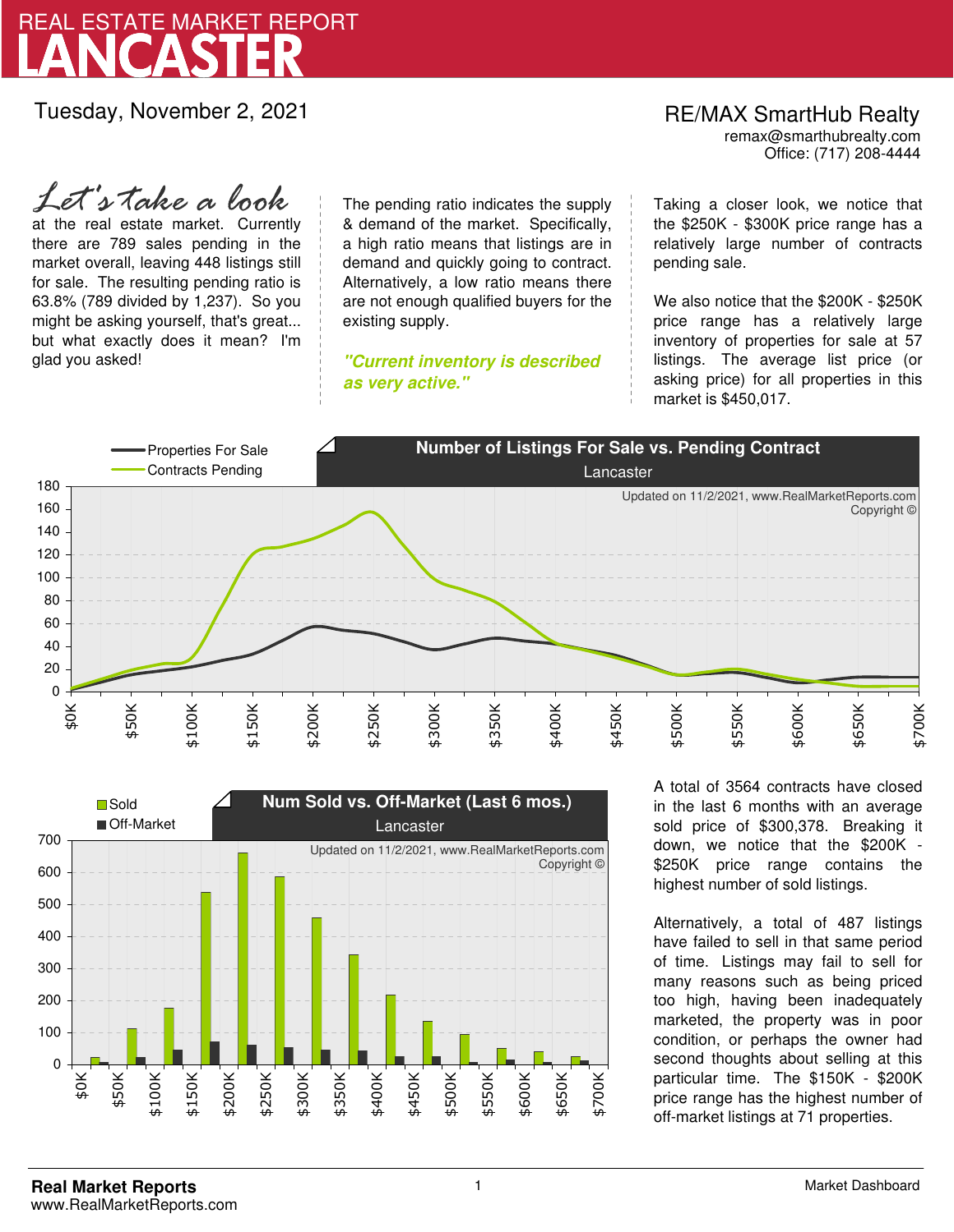

Tuesday, November 2, 2021

## RE/MAX SmartHub Realty remax@smarthubrealty.com

Office: (717) 208-4444

at the real estate market. Currently there are 789 sales pending in the market overall, leaving 448 listings still for sale. The resulting pending ratio is 63.8% (789 divided by 1,237). So you might be asking yourself, that's great... but what exactly does it mean? I'm glad you asked! *Let's take a look*

The pending ratio indicates the supply & demand of the market. Specifically, a high ratio means that listings are in demand and quickly going to contract. Alternatively, a low ratio means there are not enough qualified buyers for the existing supply.

**"Current inventory is described as very active."**

Taking a closer look, we notice that the \$250K - \$300K price range has a relatively large number of contracts pending sale.

We also notice that the \$200K - \$250K price range has a relatively large inventory of properties for sale at 57 listings. The average list price (or asking price) for all properties in this market is \$450,017.





A total of 3564 contracts have closed in the last 6 months with an average sold price of \$300,378. Breaking it down, we notice that the \$200K - \$250K price range contains the highest number of sold listings.

Alternatively, a total of 487 listings have failed to sell in that same period of time. Listings may fail to sell for many reasons such as being priced too high, having been inadequately marketed, the property was in poor condition, or perhaps the owner had second thoughts about selling at this particular time. The \$150K - \$200K price range has the highest number of off-market listings at 71 properties.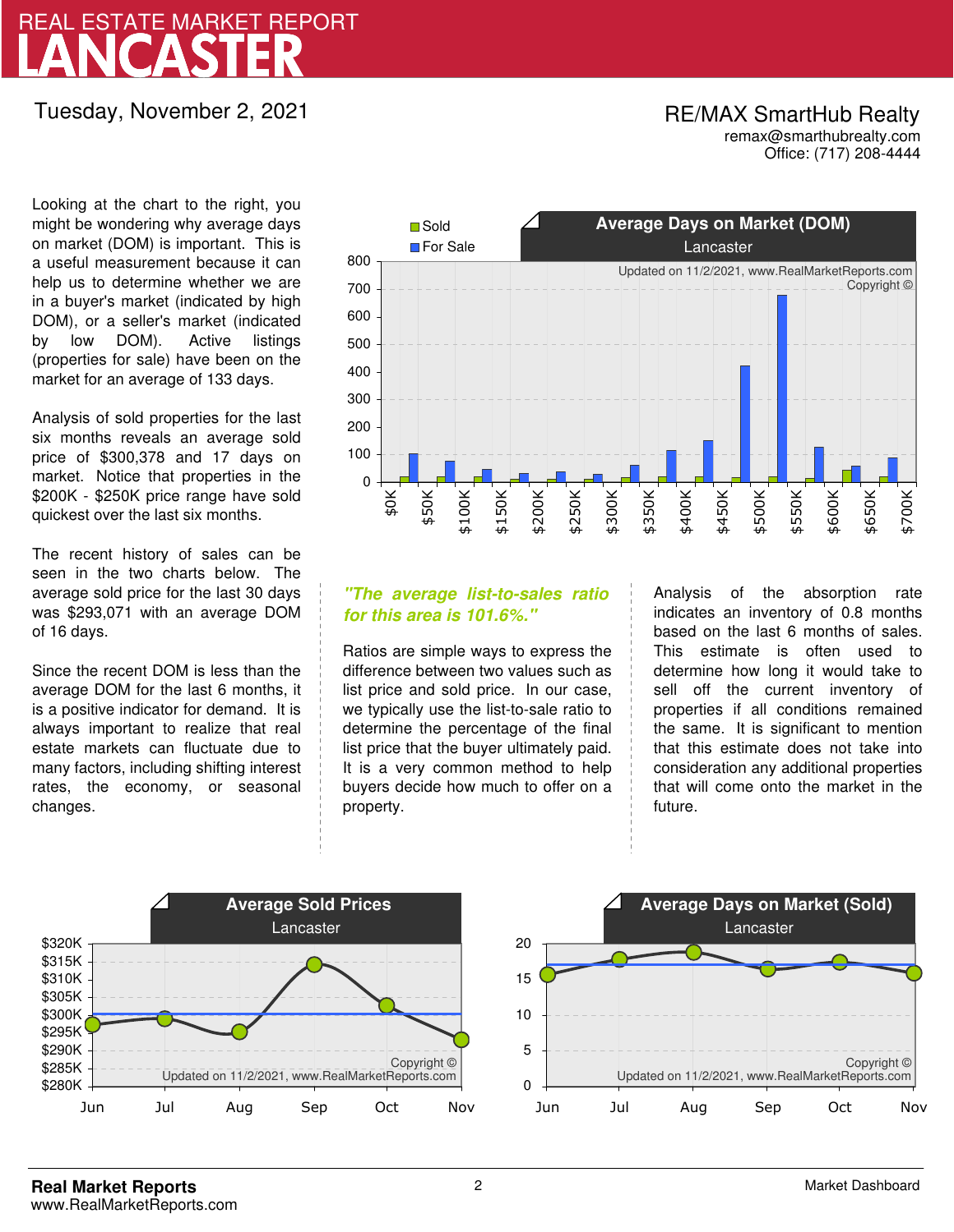# LANCASTER REAL ESTATE MARKET REPORT

Tuesday, November 2, 2021

## RE/MAX SmartHub Realty remax@smarthubrealty.com

Office: (717) 208-4444

Looking at the chart to the right, you might be wondering why average days on market (DOM) is important. This is a useful measurement because it can help us to determine whether we are in a buyer's market (indicated by high DOM), or a seller's market (indicated by low DOM). Active listings (properties for sale) have been on the market for an average of 133 days.

Analysis of sold properties for the last six months reveals an average sold price of \$300,378 and 17 days on market. Notice that properties in the \$200K - \$250K price range have sold quickest over the last six months.

The recent history of sales can be seen in the two charts below. The average sold price for the last 30 days was \$293,071 with an average DOM of 16 days.

Since the recent DOM is less than the average DOM for the last 6 months, it is a positive indicator for demand. It is always important to realize that real estate markets can fluctuate due to many factors, including shifting interest rates, the economy, or seasonal changes.



## **"The average list-to-sales ratio for this area is 101.6%."**

Ratios are simple ways to express the difference between two values such as list price and sold price. In our case, we typically use the list-to-sale ratio to determine the percentage of the final list price that the buyer ultimately paid. It is a very common method to help buyers decide how much to offer on a property.

Analysis of the absorption rate indicates an inventory of 0.8 months based on the last 6 months of sales. This estimate is often used to determine how long it would take to sell off the current inventory of properties if all conditions remained the same. It is significant to mention that this estimate does not take into consideration any additional properties that will come onto the market in the future.



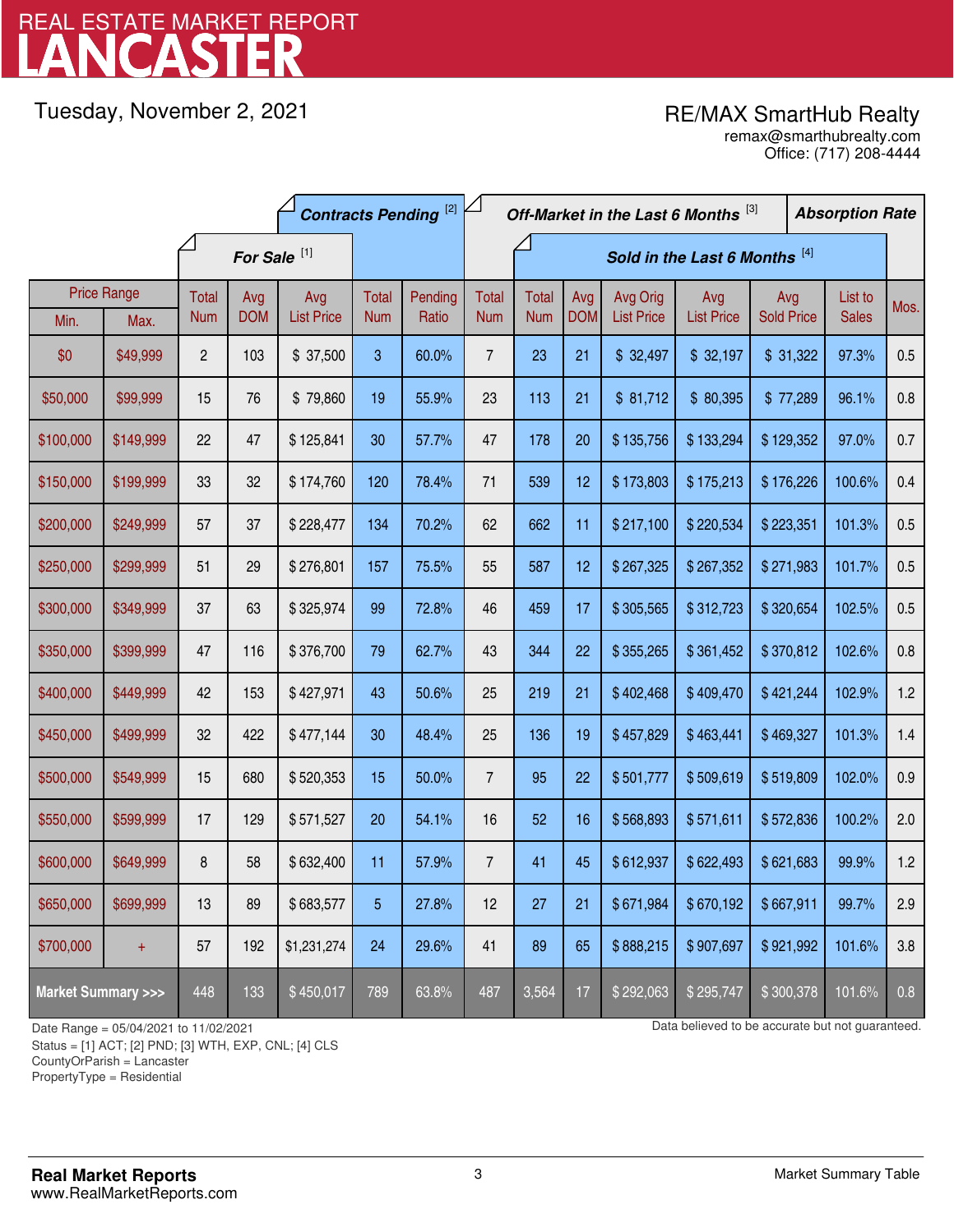# LANCASTER REAL ESTATE MARKET REPORT

Tuesday, November 2, 2021

## RE/MAX SmartHub Realty

Office: (717) 208-4444 remax@smarthubrealty.com

|                                    |                    | <b>Contracts Pending [2]</b> |            |                   |            | Off-Market in the Last 6 Months [3] |                |              |            |                   |                   | <b>Absorption Rate</b> |  |              |      |
|------------------------------------|--------------------|------------------------------|------------|-------------------|------------|-------------------------------------|----------------|--------------|------------|-------------------|-------------------|------------------------|--|--------------|------|
|                                    |                    | For Sale <sup>[1]</sup>      |            |                   |            | Sold in the Last 6 Months [4]       |                |              |            |                   |                   |                        |  |              |      |
|                                    | <b>Price Range</b> | Total                        | Avg        | Avg               | Total      | Pending                             | <b>Total</b>   | <b>Total</b> | Avg        | Avg Orig          | Avg               | Avg                    |  | List to      | Mos. |
| Min.                               | Max.               | <b>Num</b>                   | <b>DOM</b> | <b>List Price</b> | <b>Num</b> | Ratio                               | <b>Num</b>     | <b>Num</b>   | <b>DOM</b> | <b>List Price</b> | <b>List Price</b> | <b>Sold Price</b>      |  | <b>Sales</b> |      |
| \$0                                | \$49,999           | $\overline{2}$               | 103        | \$37,500          | 3          | 60.0%                               | $\overline{7}$ | 23           | 21         | \$32,497          | \$32,197          | \$31,322               |  | 97.3%        | 0.5  |
| \$50,000                           | \$99,999           | 15                           | 76         | \$79,860          | 19         | 55.9%                               | 23             | 113          | 21         | \$81,712          | \$80,395          | \$77,289               |  | 96.1%        | 0.8  |
| \$100,000                          | \$149,999          | 22                           | 47         | \$125,841         | 30         | 57.7%                               | 47             | 178          | 20         | \$135,756         | \$133,294         | \$129,352              |  | 97.0%        | 0.7  |
| \$150,000                          | \$199,999          | 33                           | 32         | \$174,760         | 120        | 78.4%                               | 71             | 539          | 12         | \$173,803         | \$175,213         | \$176,226              |  | 100.6%       | 0.4  |
| \$200,000                          | \$249,999          | 57                           | 37         | \$228,477         | 134        | 70.2%                               | 62             | 662          | 11         | \$217,100         | \$220,534         | \$223,351              |  | 101.3%       | 0.5  |
| \$250,000                          | \$299,999          | 51                           | 29         | \$276,801         | 157        | 75.5%                               | 55             | 587          | 12         | \$267,325         | \$267,352         | \$271,983              |  | 101.7%       | 0.5  |
| \$300,000                          | \$349,999          | 37                           | 63         | \$325,974         | 99         | 72.8%                               | 46             | 459          | 17         | \$305,565         | \$312,723         | \$320,654              |  | 102.5%       | 0.5  |
| \$350,000                          | \$399,999          | 47                           | 116        | \$376,700         | 79         | 62.7%                               | 43             | 344          | 22         | \$355,265         | \$361,452         | \$370,812              |  | 102.6%       | 0.8  |
| \$400,000                          | \$449,999          | 42                           | 153        | \$427,971         | 43         | 50.6%                               | 25             | 219          | 21         | \$402,468         | \$409,470         | \$421,244              |  | 102.9%       | 1.2  |
| \$450,000                          | \$499,999          | 32                           | 422        | \$477,144         | 30         | 48.4%                               | 25             | 136          | 19         | \$457,829         | \$463,441         | \$469,327              |  | 101.3%       | 1.4  |
| \$500,000                          | \$549,999          | 15                           | 680        | \$520,353         | 15         | 50.0%                               | $\overline{7}$ | 95           | 22         | \$501,777         | \$509,619         | \$519,809              |  | 102.0%       | 0.9  |
| \$550,000                          | \$599,999          | 17                           | 129        | \$571,527         | 20         | 54.1%                               | 16             | 52           | 16         | \$568,893         | \$571,611         | \$572,836              |  | 100.2%       | 2.0  |
| \$600,000                          | \$649,999          | 8                            | 58         | \$632,400         | 11         | 57.9%                               | $\overline{7}$ | 41           | 45         | \$612,937         | \$622,493         | \$621,683              |  | 99.9%        | 1.2  |
| \$650,000                          | \$699,999          | 13                           | 89         | \$683,577         | 5          | 27.8%                               | 12             | 27           | 21         | \$671,984         | \$670,192         | \$667,911              |  | 99.7%        | 2.9  |
| \$700,000                          | $+$                | 57                           | 192        | \$1,231,274       | 24         | 29.6%                               | 41             | 89           | 65         | \$888,215         | \$907,697         | \$921,992              |  | 101.6%       | 3.8  |
| <b>Market Summary &gt;&gt;&gt;</b> |                    | 448                          | 133        | \$450,017         | 789        | 63.8%                               | 487            | 3,564        | 17         | \$292,063         | \$295,747         | \$300,378              |  | 101.6%       | 0.8  |

Status = [1] ACT; [2] PND; [3] WTH, EXP, CNL; [4] CLS

CountyOrParish = Lancaster

PropertyType = Residential

1

Date Range = 05/04/2021 to 11/02/2021 Data believed to be accurate but not guaranteed.